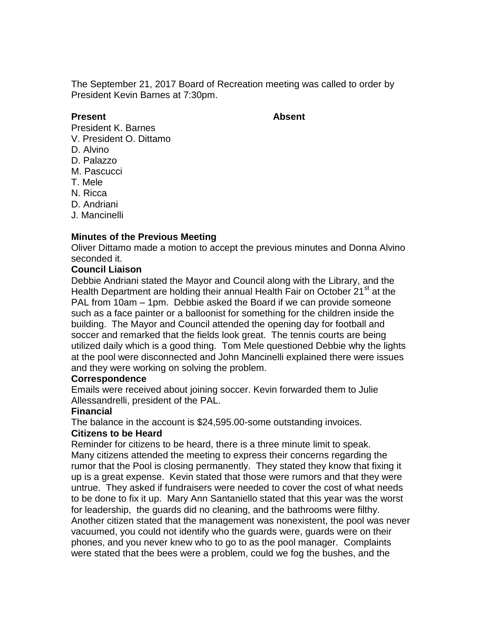The September 21, 2017 Board of Recreation meeting was called to order by President Kevin Barnes at 7:30pm.

#### **Present Absent**

- President K. Barnes
- V. President O. Dittamo
- D. Alvino
- D. Palazzo
- M. Pascucci
- T. Mele
- N. Ricca
- D. Andriani
- J. Mancinelli

## **Minutes of the Previous Meeting**

Oliver Dittamo made a motion to accept the previous minutes and Donna Alvino seconded it.

#### **Council Liaison**

Debbie Andriani stated the Mayor and Council along with the Library, and the Health Department are holding their annual Health Fair on October 21<sup>st</sup> at the PAL from 10am – 1pm. Debbie asked the Board if we can provide someone such as a face painter or a balloonist for something for the children inside the building. The Mayor and Council attended the opening day for football and soccer and remarked that the fields look great. The tennis courts are being utilized daily which is a good thing. Tom Mele questioned Debbie why the lights at the pool were disconnected and John Mancinelli explained there were issues and they were working on solving the problem.

#### **Correspondence**

Emails were received about joining soccer. Kevin forwarded them to Julie Allessandrelli, president of the PAL.

#### **Financial**

The balance in the account is \$24,595.00-some outstanding invoices.

#### **Citizens to be Heard**

Reminder for citizens to be heard, there is a three minute limit to speak. Many citizens attended the meeting to express their concerns regarding the rumor that the Pool is closing permanently. They stated they know that fixing it up is a great expense. Kevin stated that those were rumors and that they were untrue. They asked if fundraisers were needed to cover the cost of what needs to be done to fix it up. Mary Ann Santaniello stated that this year was the worst for leadership, the guards did no cleaning, and the bathrooms were filthy. Another citizen stated that the management was nonexistent, the pool was never vacuumed, you could not identify who the guards were, guards were on their phones, and you never knew who to go to as the pool manager. Complaints were stated that the bees were a problem, could we fog the bushes, and the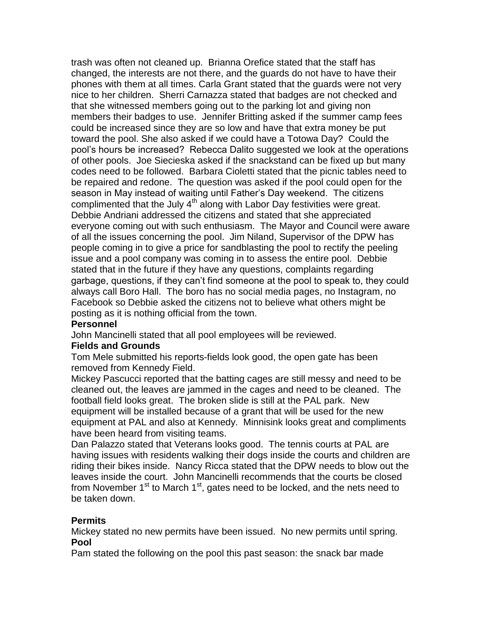trash was often not cleaned up. Brianna Orefice stated that the staff has changed, the interests are not there, and the guards do not have to have their phones with them at all times. Carla Grant stated that the guards were not very nice to her children. Sherri Carnazza stated that badges are not checked and that she witnessed members going out to the parking lot and giving non members their badges to use. Jennifer Britting asked if the summer camp fees could be increased since they are so low and have that extra money be put toward the pool. She also asked if we could have a Totowa Day? Could the pool's hours be increased? Rebecca Dalito suggested we look at the operations of other pools. Joe Siecieska asked if the snackstand can be fixed up but many codes need to be followed. Barbara Cioletti stated that the picnic tables need to be repaired and redone. The question was asked if the pool could open for the season in May instead of waiting until Father's Day weekend. The citizens complimented that the July  $4<sup>th</sup>$  along with Labor Day festivities were great. Debbie Andriani addressed the citizens and stated that she appreciated everyone coming out with such enthusiasm. The Mayor and Council were aware of all the issues concerning the pool. Jim Niland, Supervisor of the DPW has people coming in to give a price for sandblasting the pool to rectify the peeling issue and a pool company was coming in to assess the entire pool. Debbie stated that in the future if they have any questions, complaints regarding garbage, questions, if they can't find someone at the pool to speak to, they could always call Boro Hall. The boro has no social media pages, no Instagram, no Facebook so Debbie asked the citizens not to believe what others might be posting as it is nothing official from the town.

## **Personnel**

John Mancinelli stated that all pool employees will be reviewed.

## **Fields and Grounds**

Tom Mele submitted his reports-fields look good, the open gate has been removed from Kennedy Field.

Mickey Pascucci reported that the batting cages are still messy and need to be cleaned out, the leaves are jammed in the cages and need to be cleaned. The football field looks great. The broken slide is still at the PAL park. New equipment will be installed because of a grant that will be used for the new equipment at PAL and also at Kennedy. Minnisink looks great and compliments have been heard from visiting teams.

Dan Palazzo stated that Veterans looks good. The tennis courts at PAL are having issues with residents walking their dogs inside the courts and children are riding their bikes inside. Nancy Ricca stated that the DPW needs to blow out the leaves inside the court. John Mancinelli recommends that the courts be closed from November  $1<sup>st</sup>$  to March  $1<sup>st</sup>$ , gates need to be locked, and the nets need to be taken down.

## **Permits**

Mickey stated no new permits have been issued. No new permits until spring. **Pool**

Pam stated the following on the pool this past season: the snack bar made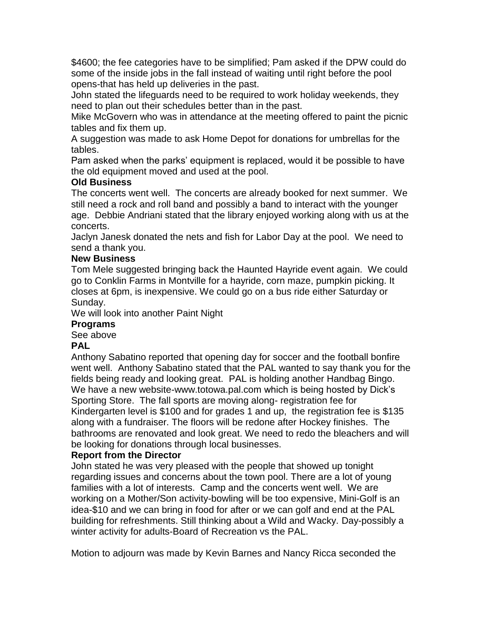\$4600; the fee categories have to be simplified; Pam asked if the DPW could do some of the inside jobs in the fall instead of waiting until right before the pool opens-that has held up deliveries in the past.

John stated the lifeguards need to be required to work holiday weekends, they need to plan out their schedules better than in the past.

Mike McGovern who was in attendance at the meeting offered to paint the picnic tables and fix them up.

A suggestion was made to ask Home Depot for donations for umbrellas for the tables.

Pam asked when the parks' equipment is replaced, would it be possible to have the old equipment moved and used at the pool.

# **Old Business**

The concerts went well. The concerts are already booked for next summer. We still need a rock and roll band and possibly a band to interact with the younger age. Debbie Andriani stated that the library enjoyed working along with us at the concerts.

Jaclyn Janesk donated the nets and fish for Labor Day at the pool. We need to send a thank you.

# **New Business**

Tom Mele suggested bringing back the Haunted Hayride event again. We could go to Conklin Farms in Montville for a hayride, corn maze, pumpkin picking. It closes at 6pm, is inexpensive. We could go on a bus ride either Saturday or Sunday.

We will look into another Paint Night

# **Programs**

See above

## **PAL**

Anthony Sabatino reported that opening day for soccer and the football bonfire went well. Anthony Sabatino stated that the PAL wanted to say thank you for the fields being ready and looking great. PAL is holding another Handbag Bingo. We have a new website-www.totowa.pal.com which is being hosted by Dick's Sporting Store. The fall sports are moving along- registration fee for Kindergarten level is \$100 and for grades 1 and up, the registration fee is \$135 along with a fundraiser. The floors will be redone after Hockey finishes. The bathrooms are renovated and look great. We need to redo the bleachers and will be looking for donations through local businesses.

## **Report from the Director**

John stated he was very pleased with the people that showed up tonight regarding issues and concerns about the town pool. There are a lot of young families with a lot of interests. Camp and the concerts went well. We are working on a Mother/Son activity-bowling will be too expensive, Mini-Golf is an idea-\$10 and we can bring in food for after or we can golf and end at the PAL building for refreshments. Still thinking about a Wild and Wacky. Day-possibly a winter activity for adults-Board of Recreation vs the PAL.

Motion to adjourn was made by Kevin Barnes and Nancy Ricca seconded the